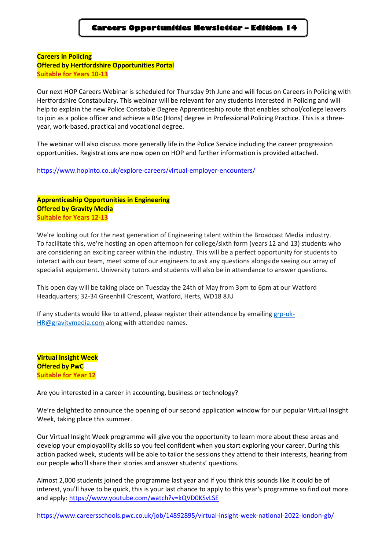**Careers in Policing Offered by Hertfordshire Opportunities Portal Suitable for Years 10-13**

Our next HOP Careers Webinar is scheduled for Thursday 9th June and will focus on Careers in Policing with Hertfordshire Constabulary. This webinar will be relevant for any students interested in Policing and will help to explain the new Police Constable Degree Apprenticeship route that enables school/college leavers to join as a police officer and achieve a BSc (Hons) degree in Professional Policing Practice. This is a threeyear, work-based, practical and vocational degree.

The webinar will also discuss more generally life in the Police Service including the career progression opportunities. Registrations are now open on HOP and further information is provided attached.

<https://www.hopinto.co.uk/explore-careers/virtual-employer-encounters/>

**Apprenticeship Opportunities in Engineering Offered by Gravity Media Suitable for Years 12-13**

We're looking out for the next generation of Engineering talent within the Broadcast Media industry. To facilitate this, we're hosting an open afternoon for college/sixth form (years 12 and 13) students who are considering an exciting career within the industry. This will be a perfect opportunity for students to interact with our team, meet some of our engineers to ask any questions alongside seeing our array of specialist equipment. University tutors and students will also be in attendance to answer questions.

This open day will be taking place on Tuesday the 24th of May from 3pm to 6pm at our Watford Headquarters; 32-34 Greenhill Crescent, Watford, Herts, WD18 8JU

If any students would like to attend, please register their attendance by emailing [grp-uk-](mailto:grp-uk-HR@gravitymedia.com)[HR@gravitymedia.com](mailto:grp-uk-HR@gravitymedia.com) along with attendee names.

**Virtual Insight Week Offered by PwC Suitable for Year 12**

Are you interested in a career in accounting, business or technology?

We're delighted to announce the opening of our second application window for our popular [Virtual Insight](https://u14934385.ct.sendgrid.net/ls/click?upn=7qi-2FMiTwGRfrNLGzALRlvMr14Vbe7Nz8S-2FL6Kz07PYVOqFQspoBNgv33oDHe5eL-2BDSSdVctAv1n-2BhkcTZhK8ww-3D-3D2krj_e8JZ6T6v5QSbessfdhOcgDxJNyRhPUGHTD4uEQVqaow-2B-2FVJI6to0OwM03rgPo4TSP-2F3iTat-2BOaMu4ONr54a4587txtuameO3ZdBv15vkIUS5FA-2BqukEhULwHtDiCXAUPSO6sTkm3L1dd-2BMk-2Bwrux1XNGi1Iiv5UZ8NJAZASCfX561avpBJc4ldJw2fINqAS4AhucX89sdqb7XL8OemqMsNKhc8UQr9K4SubBHfVD-2BemmFRLLP-2FbT4g6yJq-2Fz7RbCDcfpxckd7ljJbE8EM2D8RGFk9gXpLadT66c48Pth6DDxpXPWqs7fUJ-2BOY6s-2BPPWd33R5wmFrMDew0W1nJBITNUVwyWqAeWnyPZwzHbkTwv2AmeUZ76pep94-2BPJDtLf2BpPPTweq-2BV10RYmCHoPjygh9zhB-2FyLwpIUqIp-2F289ERo-3D)  [Week,](https://u14934385.ct.sendgrid.net/ls/click?upn=7qi-2FMiTwGRfrNLGzALRlvMr14Vbe7Nz8S-2FL6Kz07PYVOqFQspoBNgv33oDHe5eL-2BDSSdVctAv1n-2BhkcTZhK8ww-3D-3D2krj_e8JZ6T6v5QSbessfdhOcgDxJNyRhPUGHTD4uEQVqaow-2B-2FVJI6to0OwM03rgPo4TSP-2F3iTat-2BOaMu4ONr54a4587txtuameO3ZdBv15vkIUS5FA-2BqukEhULwHtDiCXAUPSO6sTkm3L1dd-2BMk-2Bwrux1XNGi1Iiv5UZ8NJAZASCfX561avpBJc4ldJw2fINqAS4AhucX89sdqb7XL8OemqMsNKhc8UQr9K4SubBHfVD-2BemmFRLLP-2FbT4g6yJq-2Fz7RbCDcfpxckd7ljJbE8EM2D8RGFk9gXpLadT66c48Pth6DDxpXPWqs7fUJ-2BOY6s-2BPPWd33R5wmFrMDew0W1nJBITNUVwyWqAeWnyPZwzHbkTwv2AmeUZ76pep94-2BPJDtLf2BpPPTweq-2BV10RYmCHoPjygh9zhB-2FyLwpIUqIp-2F289ERo-3D) taking place this summer.

Our Virtual Insight Week programme will give you the opportunity to learn more about these areas and develop your employability skills so you feel confident when you start exploring your career. During this action packed week, students will be able to tailor the sessions they attend to their interests, hearing from our people who'll share their stories and answer students' questions.

Almost 2,000 students joined the programme last year and if you think this sounds like it could be of interest, you'll have to be quick, this is your last chance to apply to this year's programme so find out more and apply:<https://www.youtube.com/watch?v=kQVD0KSvLSE>

<https://www.careersschools.pwc.co.uk/job/14892895/virtual-insight-week-national-2022-london-gb/>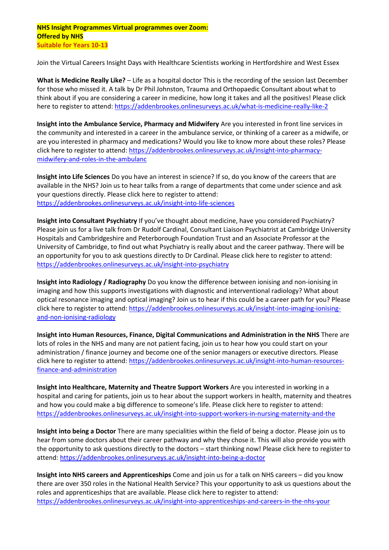## **NHS Insight Programmes Virtual programmes over Zoom: Offered by NHS Suitable for Years 10-13**

Join the Virtual Careers Insight Days with Healthcare Scientists working in Hertfordshire and West Essex

**What is Medicine Really Like?** – Life as a hospital doctor This is the recording of the session last December for those who missed it. A talk by Dr Phil Johnston, Trauma and Orthopaedic Consultant about what to think about if you are considering a career in medicine, how long it takes and all the positives! Please click here to register to attend[: https://addenbrookes.onlinesurveys.ac.uk/what-is-medicine-really-like-2](https://addenbrookes.onlinesurveys.ac.uk/what-is-medicine-really-like-2)

**Insight into the Ambulance Service, Pharmacy and Midwifery** Are you interested in front line services in the community and interested in a career in the ambulance service, or thinking of a career as a midwife, or are you interested in pharmacy and medications? Would you like to know more about these roles? Please click here to register to attend: [https://addenbrookes.onlinesurveys.ac.uk/insight-into-pharmacy](https://addenbrookes.onlinesurveys.ac.uk/insight-into-pharmacy-midwifery-and-roles-in-the-ambulanc)[midwifery-and-roles-in-the-ambulanc](https://addenbrookes.onlinesurveys.ac.uk/insight-into-pharmacy-midwifery-and-roles-in-the-ambulanc)

**Insight into Life Sciences** Do you have an interest in science? If so, do you know of the careers that are available in the NHS? Join us to hear talks from a range of departments that come under science and ask your questions directly. Please click here to register to attend: <https://addenbrookes.onlinesurveys.ac.uk/insight-into-life-sciences>

**Insight into Consultant Psychiatry** If you've thought about medicine, have you considered Psychiatry? Please join us for a live talk from Dr Rudolf Cardinal, Consultant Liaison Psychiatrist at Cambridge University Hospitals and Cambridgeshire and Peterborough Foundation Trust and an Associate Professor at the University of Cambridge, to find out what Psychiatry is really about and the career pathway. There will be an opportunity for you to ask questions directly to Dr Cardinal. Please click here to register to attend: <https://addenbrookes.onlinesurveys.ac.uk/insight-into-psychiatry>

**Insight into Radiology / Radiography** Do you know the difference between ionising and non-ionising in imaging and how this supports investigations with diagnostic and interventional radiology? What about optical resonance imaging and optical imaging? Join us to hear if this could be a career path for you? Please click here to register to attend: [https://addenbrookes.onlinesurveys.ac.uk/insight-into-imaging-ionising](https://addenbrookes.onlinesurveys.ac.uk/insight-into-imaging-ionising-and-non-ionising-radiology)[and-non-ionising-radiology](https://addenbrookes.onlinesurveys.ac.uk/insight-into-imaging-ionising-and-non-ionising-radiology)

**Insight into Human Resources, Finance, Digital Communications and Administration in the NHS** There are lots of roles in the NHS and many are not patient facing, join us to hear how you could start on your administration / finance journey and become one of the senior managers or executive directors. Please click here to register to attend: [https://addenbrookes.onlinesurveys.ac.uk/insight-into-human-resources](https://addenbrookes.onlinesurveys.ac.uk/insight-into-human-resources-finance-and-administration)[finance-and-administration](https://addenbrookes.onlinesurveys.ac.uk/insight-into-human-resources-finance-and-administration)

**Insight into Healthcare, Maternity and Theatre Support Workers** Are you interested in working in a hospital and caring for patients, join us to hear about the support workers in health, maternity and theatres and how you could make a big difference to someone's life. Please click here to register to attend: <https://addenbrookes.onlinesurveys.ac.uk/insight-into-support-workers-in-nursing-maternity-and-the>

**Insight into being a Doctor** There are many specialities within the field of being a doctor. Please join us to hear from some doctors about their career pathway and why they chose it. This will also provide you with the opportunity to ask questions directly to the doctors – start thinking now! Please click here to register to attend:<https://addenbrookes.onlinesurveys.ac.uk/insight-into-being-a-doctor>

**Insight into NHS careers and Apprenticeships** Come and join us for a talk on NHS careers – did you know there are over 350 roles in the National Health Service? This your opportunity to ask us questions about the roles and apprenticeships that are available. Please click here to register to attend: <https://addenbrookes.onlinesurveys.ac.uk/insight-into-apprenticeships-and-careers-in-the-nhs-your>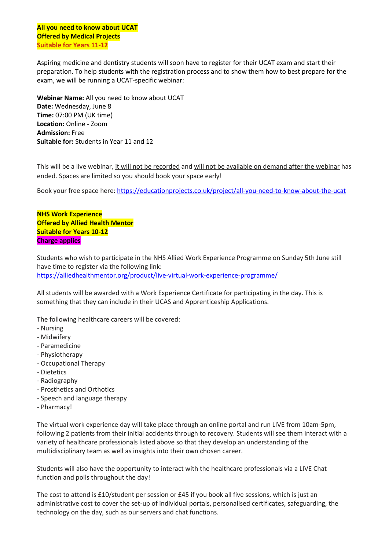**All you need to know about UCAT Offered by Medical Projects Suitable for Years 11-12**

Aspiring medicine and dentistry students will soon have to register for their UCAT exam and start their preparation. To help students with the registration process and to show them how to best prepare for the exam, we will be running a UCAT-specific webinar:

**Webinar Name:** All you need to know about UCAT **Date:** Wednesday, June 8 **Time:** 07:00 PM (UK time) **Location:** Online - Zoom **Admission:** Free **Suitable for:** Students in Year 11 and 12

This will be a live webinar, it will not be recorded and will not be available on demand after the webinar has ended. Spaces are limited so you should book your space early!

Book your free space here: [https://educationprojects.co.uk/project/all-you-need-to-know-about-the-ucat](https://69zdo.r.ag.d.sendibm3.com/mk/cl/f/eMbA4zgAzcEYi-ySCbRRP_cc4j9lLDTUvLDwsBGAfrhHbs0MB1X9ZZRaPkzw6uBhzLZwPv_FQetiP_GHQsf_gz6wH79nig1GbQYa-4ocCz6tf1U1UEA9ECsJ4XF-gc7Tf_zuhQMKM-mr-OovVPqKobdSSJFQvzBpqCuyZQIKB4-E3gAoZVOpfqPknGqyoatYkE1XU-KzxFwNuFn9QlioM8ze9-sS8wF4S4f1jpqbV1-UjXMBXOxKLwgS53yMJPJGF14y0jVx7ftli2TSfw94xenbaQz5P7XgCWrV8dNX_TG8JjZ_JXoM_BE5mA1w4TKyvb6g6nNNTZGhMGJcWcG3HXxQgFV7gZ9ScTT1sQ0t)

**NHS Work Experience Offered by Allied Health Mentor Suitable for Years 10-12 Charge applies**

Students who wish to participate in the NHS Allied Work Experience Programme on Sunday 5th June still have time to register via the following link: <https://alliedhealthmentor.org/product/live-virtual-work-experience-programme/>

All students will be awarded with a Work Experience Certificate for participating in the day. This is something that they can include in their UCAS and Apprenticeship Applications.

The following healthcare careers will be covered:

- Nursing
- Midwifery
- Paramedicine
- Physiotherapy
- Occupational Therapy
- Dietetics
- Radiography
- Prosthetics and Orthotics
- Speech and language therapy
- Pharmacy!

The virtual work experience day will take place through an online portal and run LIVE from 10am-5pm, following 2 patients from their initial accidents through to recovery. Students will see them interact with a variety of healthcare professionals listed above so that they develop an understanding of the multidisciplinary team as well as insights into their own chosen career.

Students will also have the opportunity to interact with the healthcare professionals via a LIVE Chat function and polls throughout the day!

The cost to attend is £10/student per session or £45 if you book all five sessions, which is just an administrative cost to cover the set-up of individual portals, personalised certificates, safeguarding, the technology on the day, such as our servers and chat functions.